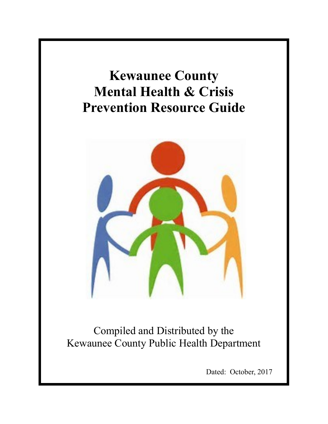

Dated: October, 2017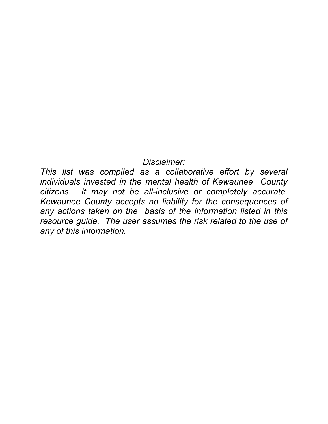*Disclaimer:* 

*This list was compiled as a collaborative effort by several individuals invested in the mental health of Kewaunee County citizens. It may not be all-inclusive or completely accurate. Kewaunee County accepts no liability for the consequences of any actions taken on the basis of the information listed in this resource guide. The user assumes the risk related to the use of any of this information.*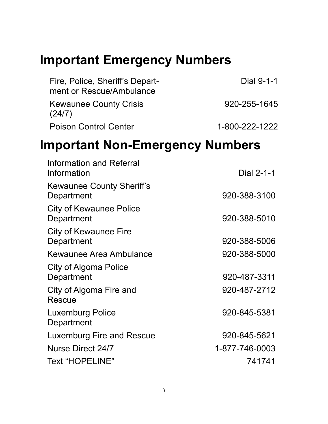# **Important Emergency Numbers**

| Fire, Police, Sheriff's Depart-<br>ment or Rescue/Ambulance | Dial 9-1-1     |
|-------------------------------------------------------------|----------------|
| <b>Kewaunee County Crisis</b><br>(24/7)                     | 920-255-1645   |
| <b>Poison Control Center</b>                                | 1-800-222-1222 |
| <b>Important Non-Emergency Numbers</b>                      |                |
| Information and Referral<br>Information                     | Dial 2-1-1     |
| <b>Kewaunee County Sheriff's</b><br>Department              | 920-388-3100   |
| <b>City of Kewaunee Police</b><br>Department                | 920-388-5010   |
| <b>City of Kewaunee Fire</b><br>Department                  | 920-388-5006   |
| Kewaunee Area Ambulance                                     | 920-388-5000   |
| City of Algoma Police<br>Department                         | 920-487-3311   |
| City of Algoma Fire and<br>Rescue                           | 920-487-2712   |
| Luxemburg Police<br>Department                              | 920-845-5381   |
| Luxemburg Fire and Rescue                                   | 920-845-5621   |
| <b>Nurse Direct 24/7</b>                                    | 1-877-746-0003 |
| <b>Text "HOPELINE"</b>                                      | 741741         |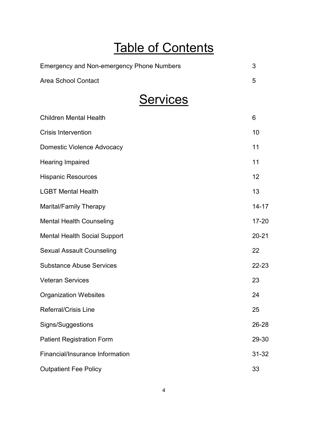# Table of Contents

| <b>Emergency and Non-emergency Phone Numbers</b> |           |
|--------------------------------------------------|-----------|
| Area School Contact                              | 5         |
| <b>Services</b>                                  |           |
| <b>Children Mental Health</b>                    | 6         |
| <b>Crisis Intervention</b>                       | 10        |
| Domestic Violence Advocacy                       | 11        |
| Hearing Impaired                                 | 11        |
| <b>Hispanic Resources</b>                        | 12        |
| <b>LGBT Mental Health</b>                        | 13        |
| <b>Marital/Family Therapy</b>                    | $14 - 17$ |
| <b>Mental Health Counseling</b>                  | $17 - 20$ |
| <b>Mental Health Social Support</b>              | $20 - 21$ |
| <b>Sexual Assault Counseling</b>                 | 22        |
| <b>Substance Abuse Services</b>                  | 22-23     |
| <b>Veteran Services</b>                          | 23        |
| <b>Organization Websites</b>                     | 24        |
| <b>Referral/Crisis Line</b>                      | 25        |
| Signs/Suggestions                                | 26-28     |
| <b>Patient Registration Form</b>                 | 29-30     |
| Financial/Insurance Information                  | $31 - 32$ |
| <b>Outpatient Fee Policy</b>                     | 33        |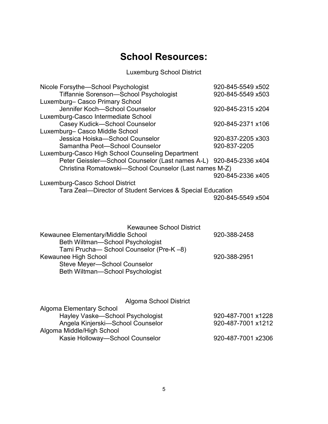# **School Resources:**

# Luxemburg School District

| Nicole Forsythe-School Psychologist                         | 920-845-5549 x502  |
|-------------------------------------------------------------|--------------------|
| Tiffannie Sorenson-School Psychologist                      | 920-845-5549 x503  |
| Luxemburg- Casco Primary School                             |                    |
| Jennifer Koch-School Counselor                              | 920-845-2315 x204  |
| Luxemburg-Casco Intermediate School                         |                    |
| Casey Kudick-School Counselor                               | 920-845-2371 x106  |
| Luxemburg- Casco Middle School                              |                    |
| Jessica Hoiska-School Counselor                             | 920-837-2205 x303  |
| Samantha Peot-School Counselor                              | 920-837-2205       |
| Luxemburg-Casco High School Counseling Department           |                    |
| Peter Geissler-School Counselor (Last names A-L)            | 920-845-2336 x404  |
| Christina Romatowski-School Counselor (Last names M-Z)      |                    |
|                                                             | 920-845-2336 x405  |
| Luxemburg-Casco School District                             |                    |
| Tara Zeal--Director of Student Services & Special Education |                    |
|                                                             | 920-845-5549 x504  |
|                                                             |                    |
|                                                             |                    |
|                                                             |                    |
| <b>Kewaunee School District</b>                             |                    |
| Kewaunee Elementary/Middle School                           | 920-388-2458       |
| Beth Wiltman-School Psychologist                            |                    |
| Tami Prucha-School Counselor (Pre-K-8)                      |                    |
| Kewaunee High School                                        | 920-388-2951       |
| Steve Meyer-School Counselor                                |                    |
| Beth Wiltman-School Psychologist                            |                    |
|                                                             |                    |
|                                                             |                    |
|                                                             |                    |
| Algoma School District                                      |                    |
| <b>Algoma Elementary School</b>                             |                    |
| Hayley Vaske-School Psychologist                            | 920-487-7001 x1228 |
| Angela Kinjerski-School Counselor                           | 920-487-7001 x1212 |
| Algoma Middle/High School                                   |                    |
| Kasie Holloway-School Counselor                             | 920-487-7001 x2306 |
|                                                             |                    |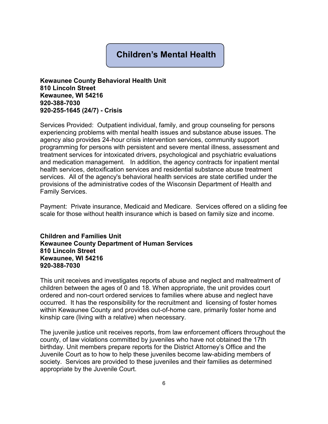# **Children's Mental Health**

**Kewaunee County Behavioral Health Unit 810 Lincoln Street Kewaunee, WI 54216 920-388-7030 920-255-1645 (24/7) - Crisis**

Services Provided: Outpatient individual, family, and group counseling for persons experiencing problems with mental health issues and substance abuse issues. The agency also provides 24-hour crisis intervention services, community support programming for persons with persistent and severe mental illness, assessment and treatment services for intoxicated drivers, psychological and psychiatric evaluations and medication management. In addition, the agency contracts for inpatient mental health services, detoxification services and residential substance abuse treatment services. All of the agency's behavioral health services are state certified under the provisions of the administrative codes of the Wisconsin Department of Health and Family Services.

Payment: Private insurance, Medicaid and Medicare. Services offered on a sliding fee scale for those without health insurance which is based on family size and income.

**Children and Families Unit Kewaunee County Department of Human Services 810 Lincoln Street Kewaunee, WI 54216 920-388-7030**

This unit receives and investigates reports of abuse and neglect and maltreatment of children between the ages of 0 and 18. When appropriate, the unit provides court ordered and non-court ordered services to families where abuse and neglect have occurred. It has the responsibility for the recruitment and licensing of foster homes within Kewaunee County and provides out-of-home care, primarily foster home and kinship care (living with a relative) when necessary.

The juvenile justice unit receives reports, from law enforcement officers throughout the county, of law violations committed by juveniles who have not obtained the 17th birthday. Unit members prepare reports for the District Attorney's Office and the Juvenile Court as to how to help these juveniles become law-abiding members of society. Services are provided to these juveniles and their families as determined appropriate by the Juvenile Court.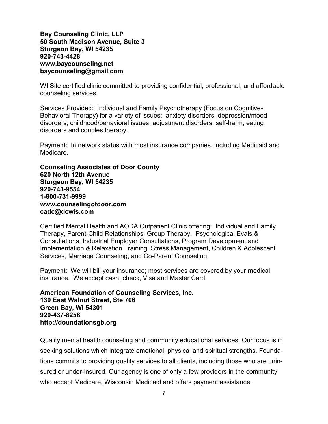**Bay Counseling Clinic, LLP 50 South Madison Avenue, Suite 3 Sturgeon Bay, WI 54235 920-743-4428 www.baycounseling.net baycounseling@gmail.com**

WI Site certified clinic committed to providing confidential, professional, and affordable counseling services.

Services Provided: Individual and Family Psychotherapy (Focus on Cognitive-Behavioral Therapy) for a variety of issues: anxiety disorders, depression/mood disorders, childhood/behavioral issues, adjustment disorders, self-harm, eating disorders and couples therapy.

Payment: In network status with most insurance companies, including Medicaid and Medicare.

**Counseling Associates of Door County 620 North 12th Avenue Sturgeon Bay, WI 54235 920-743-9554 1-800-731-9999 www.counselingofdoor.com cadc@dcwis.com**

Certified Mental Health and AODA Outpatient Clinic offering: Individual and Family Therapy, Parent-Child Relationships, Group Therapy, Psychological Evals & Consultations, Industrial Employer Consultations, Program Development and Implementation & Relaxation Training, Stress Management, Children & Adolescent Services, Marriage Counseling, and Co-Parent Counseling.

Payment: We will bill your insurance; most services are covered by your medical insurance. We accept cash, check, Visa and Master Card.

**American Foundation of Counseling Services, Inc. 130 East Walnut Street, Ste 706 Green Bay, WI 54301 920-437-8256 http://doundationsgb.org**

Quality mental health counseling and community educational services. Our focus is in seeking solutions which integrate emotional, physical and spiritual strengths. Foundations commits to providing quality services to all clients, including those who are uninsured or under-insured. Our agency is one of only a few providers in the community who accept Medicare, Wisconsin Medicaid and offers payment assistance.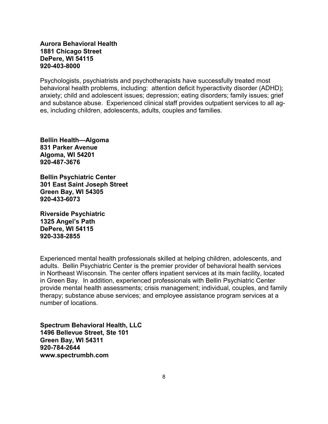### **Aurora Behavioral Health 1881 Chicago Street DePere, WI 54115 920-403-8000**

Psychologists, psychiatrists and psychotherapists have successfully treated most behavioral health problems, including: attention deficit hyperactivity disorder (ADHD); anxiety; child and adolescent issues; depression; eating disorders; family issues; grief and substance abuse. Experienced clinical staff provides outpatient services to all ages, including children, adolescents, adults, couples and families.

**Bellin Health—Algoma 831 Parker Avenue Algoma, WI 54201 920-487-3676**

**Bellin Psychiatric Center 301 East Saint Joseph Street Green Bay, WI 54305 920-433-6073**

**Riverside Psychiatric 1325 Angel's Path DePere, WI 54115 920-338-2855**

Experienced mental health professionals skilled at helping children, adolescents, and adults. Bellin Psychiatric Center is the premier provider of behavioral health services in Northeast Wisconsin. The center offers inpatient services at its main facility, located in Green Bay. In addition, experienced professionals with Bellin Psychiatric Center provide mental health assessments; crisis management; individual, couples, and family therapy; substance abuse services; and employee assistance program services at a number of locations.

**Spectrum Behavioral Health, LLC 1496 Bellevue Street, Ste 101 Green Bay, WI 54311 920-784-2644 www.spectrumbh.com**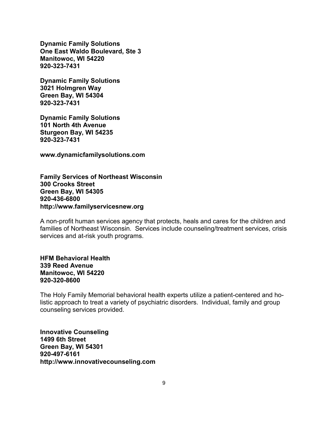**Dynamic Family Solutions One East Waldo Boulevard, Ste 3 Manitowoc, WI 54220 920-323-7431**

**Dynamic Family Solutions 3021 Holmgren Way Green Bay, WI 54304 920-323-7431**

**Dynamic Family Solutions 101 North 4th Avenue Sturgeon Bay, WI 54235 920-323-7431**

**www.dynamicfamilysolutions.com**

**Family Services of Northeast Wisconsin 300 Crooks Street Green Bay, WI 54305 920-436-6800 http://www.familyservicesnew.org**

A non-profit human services agency that protects, heals and cares for the children and families of Northeast Wisconsin. Services include counseling/treatment services, crisis services and at-risk youth programs.

**HFM Behavioral Health 339 Reed Avenue Manitowoc, WI 54220 920-320-8600**

The Holy Family Memorial behavioral health experts utilize a patient-centered and holistic approach to treat a variety of psychiatric disorders. Individual, family and group counseling services provided.

**Innovative Counseling 1499 6th Street Green Bay, WI 54301 920-497-6161 http://www.innovativecounseling.com**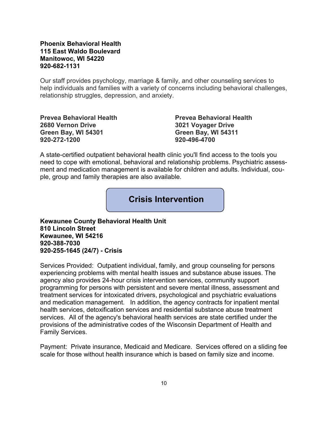### **Phoenix Behavioral Health 115 East Waldo Boulevard Manitowoc, WI 54220 920-682-1131**

Our staff provides psychology, marriage & family, and other counseling services to help individuals and families with a variety of concerns including behavioral challenges, relationship struggles, depression, and anxiety.

**2680 Vernon Drive 3021 Voyager Drive Green Bay, WI 54301 Green Bay, WI 54311 920-272-1200 920-496-4700**

**Prevea Behavioral Health Prevea Behavioral Health**

A state-certified outpatient behavioral health clinic you'll find access to the tools you need to cope with emotional, behavioral and relationship problems. Psychiatric assessment and medication management is available for children and adults. Individual, couple, group and family therapies are also available.

**Crisis Intervention**

**Kewaunee County Behavioral Health Unit 810 Lincoln Street Kewaunee, WI 54216 920-388-7030 920-255-1645 (24/7) - Crisis**

Services Provided: Outpatient individual, family, and group counseling for persons experiencing problems with mental health issues and substance abuse issues. The agency also provides 24-hour crisis intervention services, community support programming for persons with persistent and severe mental illness, assessment and treatment services for intoxicated drivers, psychological and psychiatric evaluations and medication management. In addition, the agency contracts for inpatient mental health services, detoxification services and residential substance abuse treatment services. All of the agency's behavioral health services are state certified under the provisions of the administrative codes of the Wisconsin Department of Health and Family Services.

Payment: Private insurance, Medicaid and Medicare. Services offered on a sliding fee scale for those without health insurance which is based on family size and income.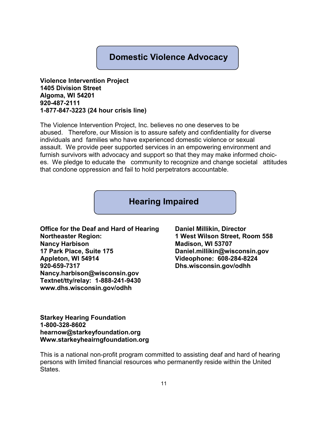# **Domestic Violence Advocacy**

### **Violence Intervention Project 1405 Division Street Algoma, WI 54201 920-487-2111 1-877-847-3223 (24 hour crisis line)**

The Violence Intervention Project, Inc. believes no one deserves to be abused. Therefore, our Mission is to assure safety and confidentiality for diverse individuals and families who have experienced domestic violence or sexual assault. We provide peer supported services in an empowering environment and furnish survivors with advocacy and support so that they may make informed choices. We pledge to educate the community to recognize and change societal attitudes that condone oppression and fail to hold perpetrators accountable.

**Hearing Impaired**

**Office for the Deaf and Hard of Hearing Daniel Millikin, Director Northeaster Region: 1 West Wilson Street, Room 558 Nancy Harbison Madison, WI 53707 17 Park Place, Suite 175 Daniel.millikin@wisconsin.gov Appleton, WI 54914 Videophone: 608-284-8224 920-659-7317 Dhs.wisconsin.gov/odhh Nancy.harbison@wisconsin.gov Textnet/tty/relay: 1-888-241-9430 www.dhs.wisconsin.gov/odhh**

**Starkey Hearing Foundation 1-800-328-8602 hearnow@starkeyfoundation.org Www.starkeyheairngfoundation.org**

This is a national non-profit program committed to assisting deaf and hard of hearing persons with limited financial resources who permanently reside within the United **States**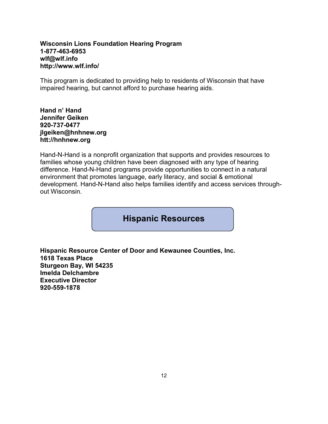### **Wisconsin Lions Foundation Hearing Program 1-877-463-6953 wlf@wlf.info http://www.wlf.info/**

This program is dedicated to providing help to residents of Wisconsin that have impaired hearing, but cannot afford to purchase hearing aids.

**Hand n' Hand Jennifer Geiken 920-737-0477 jlgeiken@hnhnew.org htt://hnhnew.org**

Hand-N-Hand is a nonprofit organization that supports and provides resources to families whose young children have been diagnosed with any type of hearing difference. Hand-N-Hand programs provide opportunities to connect in a natural environment that promotes language, early literacy, and social & emotional development. Hand-N-Hand also helps families identify and access services throughout Wisconsin.

**Hispanic Resources**

**Hispanic Resource Center of Door and Kewaunee Counties, Inc. 1618 Texas Place Sturgeon Bay, WI 54235 Imelda Delchambre Executive Director 920-559-1878**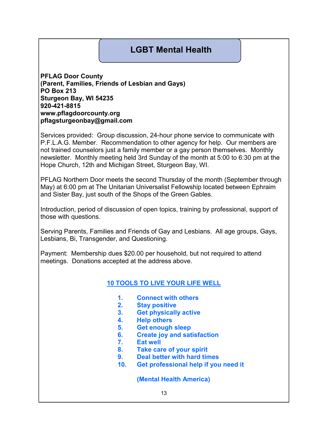# **LGBT Mental Health**

**PFLAG Door County (Parent, Families, Friends of Lesbian and Gays) PO Box 213 Sturgeon Bay, WI 54235 920-421-8815 www.pflagdoorcounty.org pflagsturgeonbay@gmail.com**

Services provided: Group discussion, 24-hour phone service to communicate with P.F.L.A.G. Member. Recommendation to other agency for help. Our members are not trained counselors just a family member or a gay person themselves. Monthly newsletter. Monthly meeting held 3rd Sunday of the month at 5:00 to 6:30 pm at the Hope Church, 12th and Michigan Street, Sturgeon Bay, WI.

PFLAG Northern Door meets the second Thursday of the month (September through May) at 6:00 pm at The Unitarian Universalist Fellowship located between Ephraim and Sister Bay, just south of the Shops of the Green Gables.

Introduction, period of discussion of open topics, training by professional, support of those with questions.

Serving Parents, Families and Friends of Gay and Lesbians. All age groups, Gays, Lesbians, Bi, Transgender, and Questioning.

Payment: Membership dues \$20.00 per household, but not required to attend meetings. Donations accepted at the address above.

### **10 TOOLS TO LIVE YOUR LIFE WELL**

- **1. Connect with others**
- **2. Stay positive**
- **3. Get physically active**
- **4. Help others**
- **5. Get enough sleep**
- **6. Create joy and satisfaction**
- **7. Eat well**
- **8. Take care of your spirit**
- **9. Deal better with hard times**
- **10. Get professional help if you need it**

**(Mental Health America)**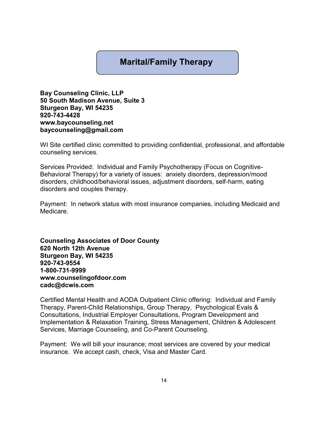# **Marital/Family Therapy**

**Bay Counseling Clinic, LLP 50 South Madison Avenue, Suite 3 Sturgeon Bay, WI 54235 920-743-4428 www.baycounseling.net baycounseling@gmail.com**

WI Site certified clinic committed to providing confidential, professional, and affordable counseling services.

Services Provided: Individual and Family Psychotherapy (Focus on Cognitive-Behavioral Therapy) for a variety of issues: anxiety disorders, depression/mood disorders, childhood/behavioral issues, adjustment disorders, self-harm, eating disorders and couples therapy.

Payment: In network status with most insurance companies, including Medicaid and Medicare.

**Counseling Associates of Door County 620 North 12th Avenue Sturgeon Bay, WI 54235 920-743-9554 1-800-731-9999 www.counselingofdoor.com cadc@dcwis.com**

Certified Mental Health and AODA Outpatient Clinic offering: Individual and Family Therapy, Parent-Child Relationships, Group Therapy, Psychological Evals & Consultations, Industrial Employer Consultations, Program Development and Implementation & Relaxation Training, Stress Management, Children & Adolescent Services, Marriage Counseling, and Co-Parent Counseling.

Payment: We will bill your insurance; most services are covered by your medical insurance. We accept cash, check, Visa and Master Card.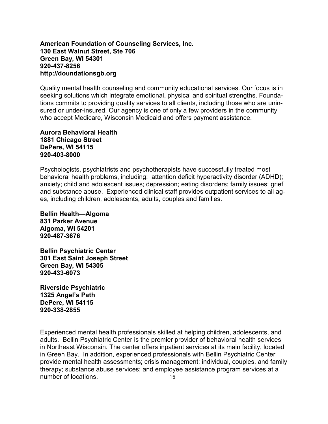### **American Foundation of Counseling Services, Inc. 130 East Walnut Street, Ste 706 Green Bay, WI 54301 920-437-8256 http://doundationsgb.org**

Quality mental health counseling and community educational services. Our focus is in seeking solutions which integrate emotional, physical and spiritual strengths. Foundations commits to providing quality services to all clients, including those who are uninsured or under-insured. Our agency is one of only a few providers in the community who accept Medicare, Wisconsin Medicaid and offers payment assistance.

### **Aurora Behavioral Health 1881 Chicago Street DePere, WI 54115 920-403-8000**

Psychologists, psychiatrists and psychotherapists have successfully treated most behavioral health problems, including: attention deficit hyperactivity disorder (ADHD); anxiety; child and adolescent issues; depression; eating disorders; family issues; grief and substance abuse. Experienced clinical staff provides outpatient services to all ages, including children, adolescents, adults, couples and families.

**Bellin Health—Algoma 831 Parker Avenue Algoma, WI 54201 920-487-3676**

**Bellin Psychiatric Center 301 East Saint Joseph Street Green Bay, WI 54305 920-433-6073**

**Riverside Psychiatric 1325 Angel's Path DePere, WI 54115 920-338-2855**

Experienced mental health professionals skilled at helping children, adolescents, and adults. Bellin Psychiatric Center is the premier provider of behavioral health services in Northeast Wisconsin. The center offers inpatient services at its main facility, located in Green Bay. In addition, experienced professionals with Bellin Psychiatric Center provide mental health assessments; crisis management; individual, couples, and family therapy; substance abuse services; and employee assistance program services at a number of locations. The contract of the state of the state of the state of the state of the state of the state of the state of the state of the state of the state of the state of the state of the state of the state of the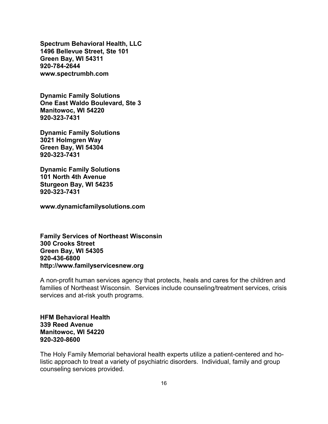**Spectrum Behavioral Health, LLC 1496 Bellevue Street, Ste 101 Green Bay, WI 54311 920-784-2644 www.spectrumbh.com**

**Dynamic Family Solutions One East Waldo Boulevard, Ste 3 Manitowoc, WI 54220 920-323-7431**

**Dynamic Family Solutions 3021 Holmgren Way Green Bay, WI 54304 920-323-7431**

**Dynamic Family Solutions 101 North 4th Avenue Sturgeon Bay, WI 54235 920-323-7431**

**www.dynamicfamilysolutions.com**

**Family Services of Northeast Wisconsin 300 Crooks Street Green Bay, WI 54305 920-436-6800 http://www.familyservicesnew.org**

A non-profit human services agency that protects, heals and cares for the children and families of Northeast Wisconsin. Services include counseling/treatment services, crisis services and at-risk youth programs.

**HFM Behavioral Health 339 Reed Avenue Manitowoc, WI 54220 920-320-8600**

The Holy Family Memorial behavioral health experts utilize a patient-centered and holistic approach to treat a variety of psychiatric disorders. Individual, family and group counseling services provided.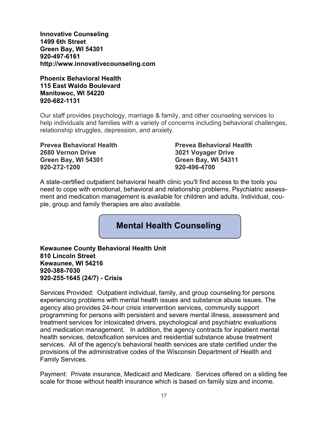**Innovative Counseling 1499 6th Street Green Bay, WI 54301 920-497-6161 http://www.innovativecounseling.com**

**Phoenix Behavioral Health 115 East Waldo Boulevard Manitowoc, WI 54220 920-682-1131**

Our staff provides psychology, marriage & family, and other counseling services to help individuals and families with a variety of concerns including behavioral challenges, relationship struggles, depression, and anxiety.

**Prevea Behavioral Health Prevea Behavioral Health 2680 Vernon Drive 3021 Voyager Drive Green Bay, WI 54301 Green Bay, WI 54311 920-272-1200 920-496-4700**

A state-certified outpatient behavioral health clinic you'll find access to the tools you need to cope with emotional, behavioral and relationship problems. Psychiatric assessment and medication management is available for children and adults. Individual, couple, group and family therapies are also available.

# **Mental Health Counseling**

**Kewaunee County Behavioral Health Unit 810 Lincoln Street Kewaunee, WI 54216 920-388-7030 920-255-1645 (24/7) - Crisis**

Services Provided: Outpatient individual, family, and group counseling for persons experiencing problems with mental health issues and substance abuse issues. The agency also provides 24-hour crisis intervention services, community support programming for persons with persistent and severe mental illness, assessment and treatment services for intoxicated drivers, psychological and psychiatric evaluations and medication management. In addition, the agency contracts for inpatient mental health services, detoxification services and residential substance abuse treatment services. All of the agency's behavioral health services are state certified under the provisions of the administrative codes of the Wisconsin Department of Health and Family Services.

Payment: Private insurance, Medicaid and Medicare. Services offered on a sliding fee scale for those without health insurance which is based on family size and income.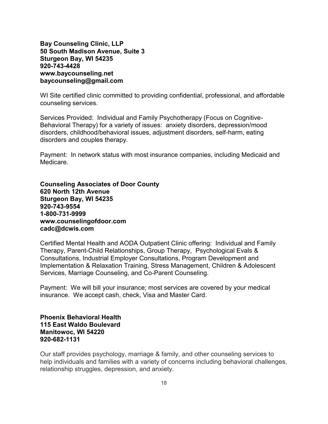**Bay Counseling Clinic, LLP 50 South Madison Avenue, Suite 3 Sturgeon Bay, WI 54235 920-743-4428 www.baycounseling.net baycounseling@gmail.com**

WI Site certified clinic committed to providing confidential, professional, and affordable counseling services.

Services Provided: Individual and Family Psychotherapy (Focus on Cognitive-Behavioral Therapy) for a variety of issues: anxiety disorders, depression/mood disorders, childhood/behavioral issues, adjustment disorders, self-harm, eating disorders and couples therapy.

Payment: In network status with most insurance companies, including Medicaid and Medicare.

**Counseling Associates of Door County 620 North 12th Avenue Sturgeon Bay, WI 54235 920-743-9554 1-800-731-9999 www.counselingofdoor.com cadc@dcwis.com**

Certified Mental Health and AODA Outpatient Clinic offering: Individual and Family Therapy, Parent-Child Relationships, Group Therapy, Psychological Evals & Consultations, Industrial Employer Consultations, Program Development and Implementation & Relaxation Training, Stress Management, Children & Adolescent Services, Marriage Counseling, and Co-Parent Counseling.

Payment: We will bill your insurance; most services are covered by your medical insurance. We accept cash, check, Visa and Master Card.

**Phoenix Behavioral Health 115 East Waldo Boulevard Manitowoc, WI 54220 920-682-1131**

Our staff provides psychology, marriage & family, and other counseling services to help individuals and families with a variety of concerns including behavioral challenges, relationship struggles, depression, and anxiety.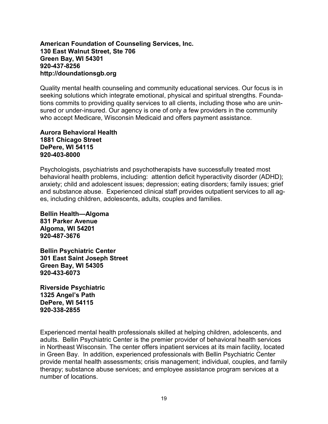### **American Foundation of Counseling Services, Inc. 130 East Walnut Street, Ste 706 Green Bay, WI 54301 920-437-8256 http://doundationsgb.org**

Quality mental health counseling and community educational services. Our focus is in seeking solutions which integrate emotional, physical and spiritual strengths. Foundations commits to providing quality services to all clients, including those who are uninsured or under-insured. Our agency is one of only a few providers in the community who accept Medicare, Wisconsin Medicaid and offers payment assistance.

### **Aurora Behavioral Health 1881 Chicago Street DePere, WI 54115 920-403-8000**

Psychologists, psychiatrists and psychotherapists have successfully treated most behavioral health problems, including: attention deficit hyperactivity disorder (ADHD); anxiety; child and adolescent issues; depression; eating disorders; family issues; grief and substance abuse. Experienced clinical staff provides outpatient services to all ages, including children, adolescents, adults, couples and families.

**Bellin Health—Algoma 831 Parker Avenue Algoma, WI 54201 920-487-3676**

**Bellin Psychiatric Center 301 East Saint Joseph Street Green Bay, WI 54305 920-433-6073**

**Riverside Psychiatric 1325 Angel's Path DePere, WI 54115 920-338-2855**

Experienced mental health professionals skilled at helping children, adolescents, and adults. Bellin Psychiatric Center is the premier provider of behavioral health services in Northeast Wisconsin. The center offers inpatient services at its main facility, located in Green Bay. In addition, experienced professionals with Bellin Psychiatric Center provide mental health assessments; crisis management; individual, couples, and family therapy; substance abuse services; and employee assistance program services at a number of locations.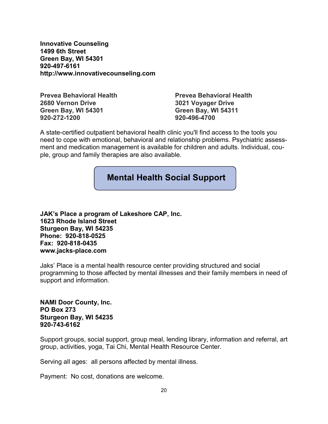**Innovative Counseling 1499 6th Street Green Bay, WI 54301 920-497-6161 http://www.innovativecounseling.com**

**Prevea Behavioral Health Prevea Behavioral Health 2680 Vernon Drive 3021 Voyager Drive Green Bay, WI 54301 Green Bay, WI 54311 920-272-1200 920-496-4700**

A state-certified outpatient behavioral health clinic you'll find access to the tools you need to cope with emotional, behavioral and relationship problems. Psychiatric assessment and medication management is available for children and adults. Individual, couple, group and family therapies are also available.

### **Mental Health Social Support**

**JAK's Place a program of Lakeshore CAP, Inc. 1623 Rhode Island Street Sturgeon Bay, WI 54235 Phone: 920-818-0525 Fax: 920-818-0435 www.jacks-place.com**

Jaks' Place is a mental health resource center providing structured and social programming to those affected by mental illnesses and their family members in need of support and information.

**NAMI Door County, Inc. PO Box 273 Sturgeon Bay, WI 54235 920-743-6162**

Support groups, social support, group meal, lending library, information and referral, art group, activities, yoga, Tai Chi, Mental Health Resource Center.

Serving all ages: all persons affected by mental illness.

Payment: No cost, donations are welcome.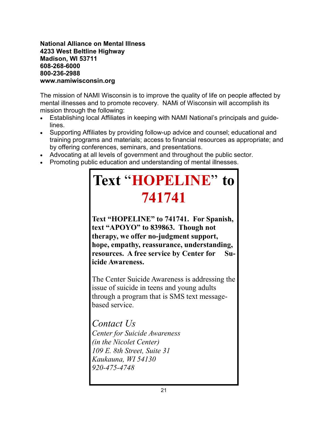### **National Alliance on Mental Illness 4233 West Beltline Highway Madison, WI 53711 608-268-6000 800-236-2988 www.namiwisconsin.org**

The mission of NAMI Wisconsin is to improve the quality of life on people affected by mental illnesses and to promote recovery. NAMi of Wisconsin will accomplish its mission through the following:

- Establishing local Affiliates in keeping with NAMI National's principals and guidelines.
- Supporting Affiliates by providing follow-up advice and counsel; educational and training programs and materials; access to financial resources as appropriate; and by offering conferences, seminars, and presentations.
- Advocating at all levels of government and throughout the public sector.
- Promoting public education and understanding of mental illnesses.

# **Text** "**HOPELINE**" **to 741741**

**Text "HOPELINE" to 741741. For Spanish, text "APOYO" to 839863. Though not therapy, we offer no-judgment support, hope, empathy, reassurance, understanding, resources. A free service by Center for Suicide Awareness.**

The Center Suicide Awareness is addressing the issue of suicide in teens and young adults through a program that is SMS text messagebased service.

*Contact Us Center for Suicide Awareness (in the Nicolet Center) 109 E. 8th Street, Suite 31 Kaukauna, WI 54130 920-475-4748*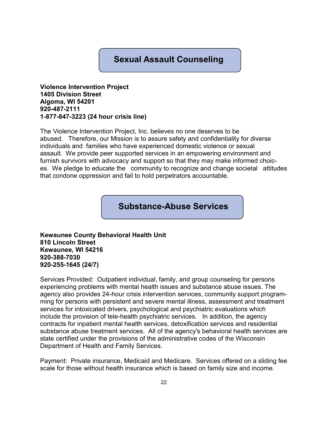# **Sexual Assault Counseling**

### **Violence Intervention Project 1405 Division Street Algoma, WI 54201 920-487-2111 1-877-847-3223 (24 hour crisis line)**

The Violence Intervention Project, Inc. believes no one deserves to be abused. Therefore, our Mission is to assure safety and confidentiality for diverse individuals and families who have experienced domestic violence or sexual assault. We provide peer supported services in an empowering environment and furnish survivors with advocacy and support so that they may make informed choices. We pledge to educate the community to recognize and change societal attitudes that condone oppression and fail to hold perpetrators accountable.

## **Substance-Abuse Services**

**Kewaunee County Behavioral Health Unit 810 Lincoln Street Kewaunee, WI 54216 920-388-7030 920-255-1645 (24/7)**

Services Provided: Outpatient individual, family, and group counseling for persons experiencing problems with mental health issues and substance abuse issues. The agency also provides 24-hour crisis intervention services, community support programming for persons with persistent and severe mental illness, assessment and treatment services for intoxicated drivers, psychological and psychiatric evaluations which include the provision of tele-health psychiatric services. In addition, the agency contracts for inpatient mental health services, detoxification services and residential substance abuse treatment services. All of the agency's behavioral health services are state certified under the provisions of the administrative codes of the Wisconsin Department of Health and Family Services.

Payment: Private insurance, Medicaid and Medicare. Services offered on a sliding fee scale for those without health insurance which is based on family size and income.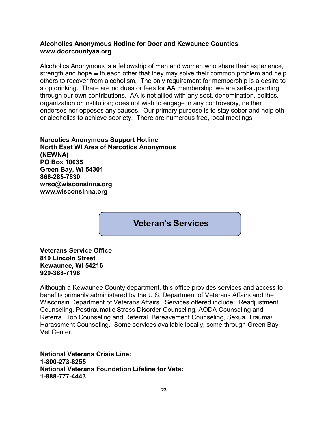### **Alcoholics Anonymous Hotline for Door and Kewaunee Counties www.doorcountyaa.org**

Alcoholics Anonymous is a fellowship of men and women who share their experience, strength and hope with each other that they may solve their common problem and help others to recover from alcoholism. The only requirement for membership is a desire to stop drinking. There are no dues or fees for AA membership' we are self-supporting through our own contributions. AA is not allied with any sect, denomination, politics, organization or institution; does not wish to engage in any controversy, neither endorses nor opposes any causes. Our primary purpose is to stay sober and help other alcoholics to achieve sobriety. There are numerous free, local meetings.

**Narcotics Anonymous Support Hotline North East WI Area of Narcotics Anonymous (NEWNA) PO Box 10035 Green Bay, WI 54301 866-285-7830 wrso@wisconsinna.org www.wisconsinna.org**

## **Veteran's Services**

**Veterans Service Office 810 Lincoln Street Kewaunee, WI 54216 920-388-7198**

Although a Kewaunee County department, this office provides services and access to benefits primarily administered by the U.S. Department of Veterans Affairs and the Wisconsin Department of Veterans Affairs. Services offered include: Readjustment Counseling, Posttraumatic Stress Disorder Counseling, AODA Counseling and Referral, Job Counseling and Referral, Bereavement Counseling, Sexual Trauma/ Harassment Counseling. Some services available locally, some through Green Bay Vet Center.

**National Veterans Crisis Line: 1-800-273-8255 National Veterans Foundation Lifeline for Vets: 1-888-777-4443**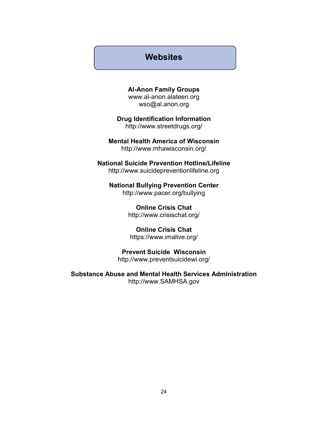## **Websites**

**Al-Anon Family Groups** www.al-anon.alateen.org wso@al.anon.org

**Drug Identification Information** http://www.streetdrugs.org/

**Mental Health America of Wisconsin** http://www.mhawisconsin.org/

**National Suicide Prevention Hotline/Lifeline** http://www.suicidepreventionlifeline.org

**National Bullying Prevention Center** http://www.pacer.org/bullying

> **Online Crisis Chat** http://www.crisischat.org/

**Online Crisis Chat** https://www.imalive.org/

**Prevent Suicide Wisconsin** http://www.preventsuicidewi.org/

**Substance Abuse and Mental Health Services Administration** http://www.SAMHSA.gov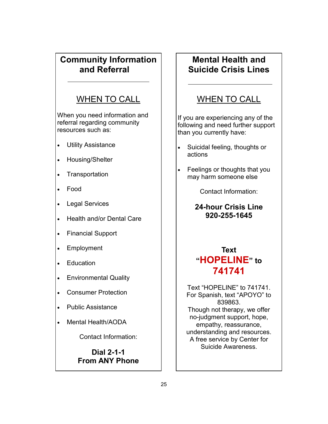# **Community Information and Referral**

# WHEN TO CALL

When you need information and referral regarding community resources such as:

- Utility Assistance
- Housing/Shelter
- Transportation
- Food
- Legal Services
- Health and/or Dental Care
- Financial Support
- Employment
- Education
- Environmental Quality
- Consumer Protection
- Public Assistance
- Mental Health/AODA

Contact Information:

**Dial 2-1-1 From ANY Phone**

# **Mental Health and Suicide Crisis Lines**

# WHEN TO CALL

If you are experiencing any of the following and need further support than you currently have:

- Suicidal feeling, thoughts or actions
- Feelings or thoughts that you may harm someone else

Contact Information:

**24-hour Crisis Line 920-255-1645**

# **Text "HOPELINE" to 741741**

Text "HOPELINE" to 741741. For Spanish, text "APOYO" to 839863. Though not therapy, we offer no-judgment support, hope, empathy, reassurance, understanding and resources. A free service by Center for Suicide Awareness.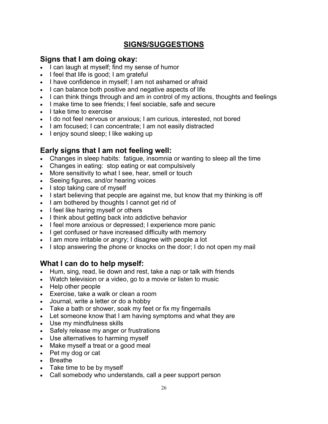## **SIGNS/SUGGESTIONS**

### **Signs that I am doing okay:**

- I can laugh at myself; find my sense of humor
- I feel that life is good; I am grateful
- I have confidence in myself; I am not ashamed or afraid
- I can balance both positive and negative aspects of life
- I can think things through and am in control of my actions, thoughts and feelings
- I make time to see friends: I feel sociable, safe and secure
- I take time to exercise
- I do not feel nervous or anxious; I am curious, interested, not bored
- I am focused; I can concentrate; I am not easily distracted
- I enjoy sound sleep; I like waking up

### **Early signs that I am not feeling well:**

- Changes in sleep habits: fatigue, insomnia or wanting to sleep all the time
- Changes in eating: stop eating or eat compulsively
- More sensitivity to what I see, hear, smell or touch
- Seeing figures, and/or hearing voices
- I stop taking care of myself
- I start believing that people are against me, but know that my thinking is off
- I am bothered by thoughts I cannot get rid of
- I feel like haring myself or others
- I think about getting back into addictive behavior
- I feel more anxious or depressed; I experience more panic
- I get confused or have increased difficulty with memory
- I am more irritable or angry; I disagree with people a lot
- I stop answering the phone or knocks on the door; I do not open my mail

### **What I can do to help myself:**

- Hum, sing, read, lie down and rest, take a nap or talk with friends
- Watch television or a video, go to a movie or listen to music
- Help other people
- Exercise, take a walk or clean a room
- Journal, write a letter or do a hobby
- Take a bath or shower, soak my feet or fix my fingernails
- Let someone know that I am having symptoms and what they are
- Use my mindfulness skills
- Safely release my anger or frustrations
- Use alternatives to harming myself
- Make myself a treat or a good meal
- Pet my dog or cat
- Breathe
- Take time to be by myself
- Call somebody who understands, call a peer support person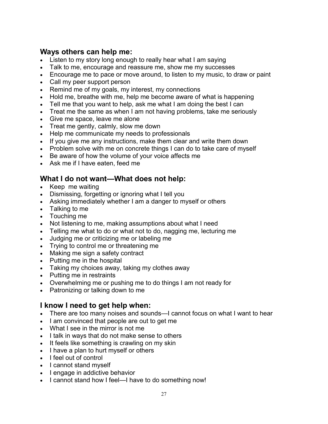### **Ways others can help me:**

- Listen to my story long enough to really hear what I am saying
- Talk to me, encourage and reassure me, show me my successes
- Encourage me to pace or move around, to listen to my music, to draw or paint
- Call my peer support person
- Remind me of my goals, my interest, my connections
- Hold me, breathe with me, help me become aware of what is happening
- Tell me that you want to help, ask me what I am doing the best I can
- Treat me the same as when I am not having problems, take me seriously
- Give me space, leave me alone
- Treat me gently, calmly, slow me down
- Help me communicate my needs to professionals
- If you give me any instructions, make them clear and write them down
- Problem solve with me on concrete things I can do to take care of myself
- Be aware of how the volume of your voice affects me
- Ask me if I have eaten, feed me

## **What I do not want—What does not help:**

- Keep me waiting
- Dismissing, forgetting or ignoring what I tell you
- Asking immediately whether I am a danger to myself or others
- Talking to me
- Touching me
- Not listening to me, making assumptions about what I need
- Telling me what to do or what not to do, nagging me, lecturing me
- Judging me or criticizing me or labeling me
- Trying to control me or threatening me
- Making me sign a safety contract
- Putting me in the hospital
- Taking my choices away, taking my clothes away
- Putting me in restraints
- Overwhelming me or pushing me to do things I am not ready for
- Patronizing or talking down to me

# **I know I need to get help when:**

- There are too many noises and sounds—I cannot focus on what I want to hear
- I am convinced that people are out to get me
- What I see in the mirror is not me
- I talk in ways that do not make sense to others
- It feels like something is crawling on my skin
- I have a plan to hurt myself or others
- I feel out of control
- I cannot stand myself
- I engage in addictive behavior
- I cannot stand how I feel—I have to do something now!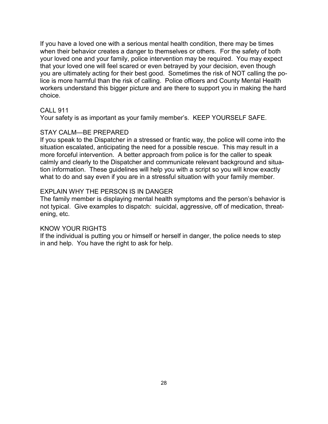If you have a loved one with a serious mental health condition, there may be times when their behavior creates a danger to themselves or others. For the safety of both your loved one and your family, police intervention may be required. You may expect that your loved one will feel scared or even betrayed by your decision, even though you are ultimately acting for their best good. Sometimes the risk of NOT calling the police is more harmful than the risk of calling. Police officers and County Mental Health workers understand this bigger picture and are there to support you in making the hard choice.

#### CALL 911

Your safety is as important as your family member's. KEEP YOURSELF SAFE.

#### STAY CALM—BE PREPARED

If you speak to the Dispatcher in a stressed or frantic way, the police will come into the situation escalated, anticipating the need for a possible rescue. This may result in a more forceful intervention. A better approach from police is for the caller to speak calmly and clearly to the Dispatcher and communicate relevant background and situation information. These guidelines will help you with a script so you will know exactly what to do and say even if you are in a stressful situation with your family member.

#### EXPLAIN WHY THE PERSON IS IN DANGER

The family member is displaying mental health symptoms and the person's behavior is not typical. Give examples to dispatch: suicidal, aggressive, off of medication, threatening, etc.

#### KNOW YOUR RIGHTS

If the individual is putting you or himself or herself in danger, the police needs to step in and help. You have the right to ask for help.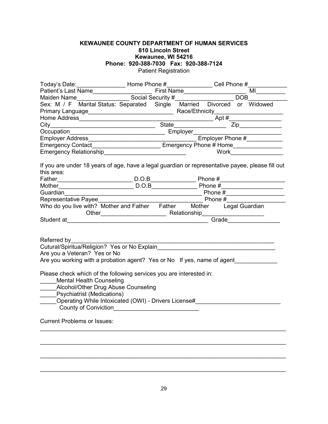#### **KEWAUNEE COUNTY DEPARTMENT OF HUMAN SERVICES 810 Lincoln Street Kewaunee, WI 54216 Phone: 920-388-7030 Fax: 920-388-7124** Patient Registration

|                                                                                                                                                                                                                                                                           |                                                                                                                                                                                                                                |  |  | Today's Date: ________________________Home Phone #_____________________Cell Phone #________________ |  |                                                                                                                                                                                                                                                                                                                                                                             |  |
|---------------------------------------------------------------------------------------------------------------------------------------------------------------------------------------------------------------------------------------------------------------------------|--------------------------------------------------------------------------------------------------------------------------------------------------------------------------------------------------------------------------------|--|--|-----------------------------------------------------------------------------------------------------|--|-----------------------------------------------------------------------------------------------------------------------------------------------------------------------------------------------------------------------------------------------------------------------------------------------------------------------------------------------------------------------------|--|
|                                                                                                                                                                                                                                                                           |                                                                                                                                                                                                                                |  |  |                                                                                                     |  |                                                                                                                                                                                                                                                                                                                                                                             |  |
|                                                                                                                                                                                                                                                                           |                                                                                                                                                                                                                                |  |  |                                                                                                     |  |                                                                                                                                                                                                                                                                                                                                                                             |  |
| Sex: M / F Marital Status: Separated Single Married Divorced or Widowed                                                                                                                                                                                                   |                                                                                                                                                                                                                                |  |  |                                                                                                     |  |                                                                                                                                                                                                                                                                                                                                                                             |  |
|                                                                                                                                                                                                                                                                           |                                                                                                                                                                                                                                |  |  |                                                                                                     |  |                                                                                                                                                                                                                                                                                                                                                                             |  |
|                                                                                                                                                                                                                                                                           |                                                                                                                                                                                                                                |  |  |                                                                                                     |  |                                                                                                                                                                                                                                                                                                                                                                             |  |
| Home Address<br>City State City State City State City State City State City State City State City State City State City State City State City State City State City State City State City State City State City State City State                                          |                                                                                                                                                                                                                                |  |  |                                                                                                     |  |                                                                                                                                                                                                                                                                                                                                                                             |  |
|                                                                                                                                                                                                                                                                           |                                                                                                                                                                                                                                |  |  |                                                                                                     |  |                                                                                                                                                                                                                                                                                                                                                                             |  |
|                                                                                                                                                                                                                                                                           | Occupation<br>Employer Address<br>Employer Phone #<br>Emergency Contact<br>Emergency Phone # Home<br>Emergency Phone # Home                                                                                                    |  |  |                                                                                                     |  |                                                                                                                                                                                                                                                                                                                                                                             |  |
|                                                                                                                                                                                                                                                                           |                                                                                                                                                                                                                                |  |  |                                                                                                     |  |                                                                                                                                                                                                                                                                                                                                                                             |  |
|                                                                                                                                                                                                                                                                           |                                                                                                                                                                                                                                |  |  |                                                                                                     |  | $\begin{picture}(20,10) \put(0,0){\dashbox{0.5}(5,0){ }} \put(15,0){\dashbox{0.5}(5,0){ }} \put(15,0){\dashbox{0.5}(5,0){ }} \put(15,0){\dashbox{0.5}(5,0){ }} \put(15,0){\dashbox{0.5}(5,0){ }} \put(15,0){\dashbox{0.5}(5,0){ }} \put(15,0){\dashbox{0.5}(5,0){ }} \put(15,0){\dashbox{0.5}(5,0){ }} \put(15,0){\dashbox{0.5}(5,0){ }} \put(15,0){\dashbox{0.5}(5,0){ }}$ |  |
| If you are under 18 years of age, have a legal guardian or representative payee, please fill out<br>this area:                                                                                                                                                            |                                                                                                                                                                                                                                |  |  |                                                                                                     |  |                                                                                                                                                                                                                                                                                                                                                                             |  |
|                                                                                                                                                                                                                                                                           |                                                                                                                                                                                                                                |  |  |                                                                                                     |  |                                                                                                                                                                                                                                                                                                                                                                             |  |
|                                                                                                                                                                                                                                                                           |                                                                                                                                                                                                                                |  |  |                                                                                                     |  |                                                                                                                                                                                                                                                                                                                                                                             |  |
|                                                                                                                                                                                                                                                                           |                                                                                                                                                                                                                                |  |  |                                                                                                     |  |                                                                                                                                                                                                                                                                                                                                                                             |  |
|                                                                                                                                                                                                                                                                           |                                                                                                                                                                                                                                |  |  |                                                                                                     |  |                                                                                                                                                                                                                                                                                                                                                                             |  |
| Who do you live with? Mother and Father Father Mother Legal Guardian                                                                                                                                                                                                      |                                                                                                                                                                                                                                |  |  |                                                                                                     |  |                                                                                                                                                                                                                                                                                                                                                                             |  |
|                                                                                                                                                                                                                                                                           | Other Charles and Charles Charles Relationship Charles Charles Charles Charles Charles Charles Charles Charles Charles Charles Charles Charles Charles Charles Charles Charles Charles Charles Charles Charles Charles Charles |  |  |                                                                                                     |  |                                                                                                                                                                                                                                                                                                                                                                             |  |
|                                                                                                                                                                                                                                                                           |                                                                                                                                                                                                                                |  |  |                                                                                                     |  |                                                                                                                                                                                                                                                                                                                                                                             |  |
| Referred by<br>Cutural/Spiritua/Religion? Yes or No Explain<br>Are you a Veteran? Yes or No<br>Are you working with a probation agent? Yes or No If yes, name of agent                                                                                                    |                                                                                                                                                                                                                                |  |  |                                                                                                     |  |                                                                                                                                                                                                                                                                                                                                                                             |  |
| Please check which of the following services you are interested in:<br><b>Mental Health Counseling</b><br>_____Alcohol/Other Drug Abuse Counseling<br>_____Psychiatrist (Medications)<br>_____Operating While Intoxicated (OWI) - Drivers License#_______________________ |                                                                                                                                                                                                                                |  |  |                                                                                                     |  |                                                                                                                                                                                                                                                                                                                                                                             |  |
| <b>Current Problems or Issues:</b>                                                                                                                                                                                                                                        |                                                                                                                                                                                                                                |  |  |                                                                                                     |  |                                                                                                                                                                                                                                                                                                                                                                             |  |

\_\_\_\_\_\_\_\_\_\_\_\_\_\_\_\_\_\_\_\_\_\_\_\_\_\_\_\_\_\_\_\_\_\_\_\_\_\_\_\_\_\_\_\_\_\_\_\_\_\_\_\_\_\_\_\_\_\_\_\_\_\_\_\_\_\_\_\_\_\_\_\_\_\_\_

\_\_\_\_\_\_\_\_\_\_\_\_\_\_\_\_\_\_\_\_\_\_\_\_\_\_\_\_\_\_\_\_\_\_\_\_\_\_\_\_\_\_\_\_\_\_\_\_\_\_\_\_\_\_\_\_\_\_\_\_\_\_\_\_\_\_\_\_\_\_\_\_\_\_\_

\_\_\_\_\_\_\_\_\_\_\_\_\_\_\_\_\_\_\_\_\_\_\_\_\_\_\_\_\_\_\_\_\_\_\_\_\_\_\_\_\_\_\_\_\_\_\_\_\_\_\_\_\_\_\_\_\_\_\_\_\_\_\_\_\_\_\_\_\_\_\_\_\_\_\_

\_\_\_\_\_\_\_\_\_\_\_\_\_\_\_\_\_\_\_\_\_\_\_\_\_\_\_\_\_\_\_\_\_\_\_\_\_\_\_\_\_\_\_\_\_\_\_\_\_\_\_\_\_\_\_\_\_\_\_\_\_\_\_\_\_\_\_\_\_\_\_\_\_\_\_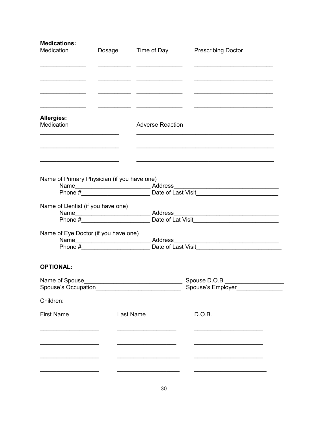| <b>Medications:</b><br>Medication           |  |                         | Dosage Time of Day Prescribing Doctor |
|---------------------------------------------|--|-------------------------|---------------------------------------|
|                                             |  |                         |                                       |
| <b>Allergies:</b><br>Medication             |  | <b>Adverse Reaction</b> |                                       |
| Name of Primary Physician (if you have one) |  |                         |                                       |
|                                             |  |                         |                                       |
| Name of Dentist (if you have one)           |  |                         |                                       |
| Name of Eye Doctor (if you have one)        |  |                         |                                       |
| <b>OPTIONAL:</b>                            |  |                         |                                       |
| Name of Spouse                              |  |                         | Spouse D.O.B.<br>Spouse's Employer    |
| Children:                                   |  |                         |                                       |
| <b>First Name</b>                           |  | Last Name               | D.O.B.                                |
|                                             |  |                         |                                       |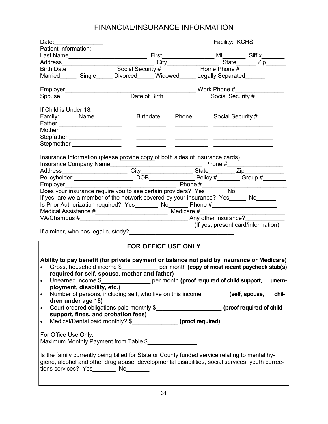# FINANCIAL/INSURANCE INFORMATION

| Date: and the part of the painting of the set of the set of the set of the set of the set of the set of the set of the set of the set of the set of the set of the set of the set of the set of the set of the set of the set           | Facility: KCHS                                                                            |                                   |  |                                    |
|-----------------------------------------------------------------------------------------------------------------------------------------------------------------------------------------------------------------------------------------|-------------------------------------------------------------------------------------------|-----------------------------------|--|------------------------------------|
| Patient Information:                                                                                                                                                                                                                    |                                                                                           |                                   |  |                                    |
|                                                                                                                                                                                                                                         |                                                                                           |                                   |  |                                    |
|                                                                                                                                                                                                                                         |                                                                                           |                                   |  |                                    |
|                                                                                                                                                                                                                                         |                                                                                           |                                   |  |                                    |
| Address<br>Birth Date <u>Single Divorced Widowed Legally Separated</u><br>Married Married Married Married Communication Married Married Married Married Married Married Married Married Married Married Married Married Married Married |                                                                                           |                                   |  |                                    |
|                                                                                                                                                                                                                                         |                                                                                           |                                   |  |                                    |
|                                                                                                                                                                                                                                         |                                                                                           |                                   |  |                                    |
|                                                                                                                                                                                                                                         |                                                                                           |                                   |  |                                    |
| If Child is Under 18:                                                                                                                                                                                                                   |                                                                                           |                                   |  |                                    |
| Family: Name                                                                                                                                                                                                                            |                                                                                           | Birthdate Phone Social Security # |  |                                    |
|                                                                                                                                                                                                                                         |                                                                                           |                                   |  |                                    |
|                                                                                                                                                                                                                                         |                                                                                           |                                   |  |                                    |
|                                                                                                                                                                                                                                         |                                                                                           |                                   |  |                                    |
|                                                                                                                                                                                                                                         |                                                                                           |                                   |  |                                    |
|                                                                                                                                                                                                                                         |                                                                                           |                                   |  |                                    |
| Insurance Information (please provide copy of both sides of insurance cards)                                                                                                                                                            |                                                                                           |                                   |  |                                    |
| Thone #<br>Madress City DOB Phone #<br>Employer Phone # Group # City Policy Address City Policy + Group # City Phone # City Phone # City Phone # City Phone # Does your insurance require you to see certain providers? Yes No          |                                                                                           |                                   |  |                                    |
|                                                                                                                                                                                                                                         |                                                                                           |                                   |  |                                    |
|                                                                                                                                                                                                                                         |                                                                                           |                                   |  |                                    |
|                                                                                                                                                                                                                                         |                                                                                           |                                   |  |                                    |
|                                                                                                                                                                                                                                         |                                                                                           |                                   |  |                                    |
| If yes, are we a member of the network covered by your insurance? Yes_____ No______                                                                                                                                                     |                                                                                           |                                   |  |                                    |
|                                                                                                                                                                                                                                         |                                                                                           |                                   |  |                                    |
| Is Prior Authorization required? Yes _________ No_______ Phone #________________                                                                                                                                                        |                                                                                           |                                   |  |                                    |
|                                                                                                                                                                                                                                         |                                                                                           |                                   |  |                                    |
|                                                                                                                                                                                                                                         |                                                                                           |                                   |  |                                    |
|                                                                                                                                                                                                                                         |                                                                                           |                                   |  | (If yes, present card/information) |
| If a minor, who has legal custody?<br><u>Fig. 2008</u>                                                                                                                                                                                  |                                                                                           |                                   |  |                                    |
|                                                                                                                                                                                                                                         | <b>FOR OFFICE USE ONLY</b>                                                                |                                   |  |                                    |
|                                                                                                                                                                                                                                         |                                                                                           |                                   |  |                                    |
| Ability to pay benefit (for private payment or balance not paid by insurance or Medicare)                                                                                                                                               |                                                                                           |                                   |  |                                    |
| • Gross, household income \$____________ per month (copy of most recent paycheck stub(s)                                                                                                                                                |                                                                                           |                                   |  |                                    |
|                                                                                                                                                                                                                                         | required for self, spouse, mother and father)                                             |                                   |  |                                    |
| Unearned income \$<br>$\bullet$                                                                                                                                                                                                         | per month (proof required of child support,                                               |                                   |  | unem-                              |
| ployment, disability, etc.)                                                                                                                                                                                                             |                                                                                           |                                   |  |                                    |
| $\bullet$                                                                                                                                                                                                                               | Number of persons, including self, who live on this income________ (self, spouse,         |                                   |  | chil-                              |
| dren under age 18)                                                                                                                                                                                                                      |                                                                                           |                                   |  |                                    |
| $\bullet$                                                                                                                                                                                                                               | Court ordered obligations paid monthly \$________________________(proof required of child |                                   |  |                                    |
| support, fines, and probation fees)                                                                                                                                                                                                     |                                                                                           |                                   |  |                                    |
| $\bullet$                                                                                                                                                                                                                               | Medical/Dental paid monthly? \$_______________(proof required)                            |                                   |  |                                    |
|                                                                                                                                                                                                                                         |                                                                                           |                                   |  |                                    |
| For Office Use Only:                                                                                                                                                                                                                    |                                                                                           |                                   |  |                                    |
| Maximum Monthly Payment from Table \$                                                                                                                                                                                                   |                                                                                           |                                   |  |                                    |
|                                                                                                                                                                                                                                         |                                                                                           |                                   |  |                                    |
|                                                                                                                                                                                                                                         |                                                                                           |                                   |  |                                    |
| Is the family currently being billed for State or County funded service relating to mental hy-                                                                                                                                          |                                                                                           |                                   |  |                                    |
| giene, alcohol and other drug abuse, developmental disabilities, social services, youth correc-                                                                                                                                         |                                                                                           |                                   |  |                                    |
| tions services? Yes ________ No________                                                                                                                                                                                                 |                                                                                           |                                   |  |                                    |
|                                                                                                                                                                                                                                         |                                                                                           |                                   |  |                                    |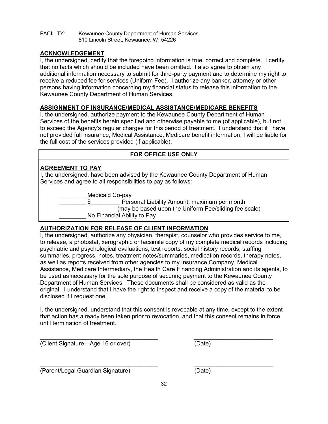#### FACILITY: Kewaunee County Department of Human Services 810 Lincoln Street, Kewaunee, WI 54226

### **ACKNOWLEDGEMENT**

I, the undersigned, certify that the foregoing information is true, correct and complete. I certify that no facts which should be included have been omitted. I also agree to obtain any additional information necessary to submit for third-party payment and to determine my right to receive a reduced fee for services (Uniform Fee). I authorize any banker, attorney or other persons having information concerning my financial status to release this information to the Kewaunee County Department of Human Services.

### **ASSIGNMENT OF INSURANCE/MEDICAL ASSISTANCE/MEDICARE BENEFITS**

I, the undersigned, authorize payment to the Kewaunee County Department of Human Services of the benefits herein specified and otherwise payable to me (of applicable), but not to exceed the Agency's regular charges for this period of treatment. I understand that if I have not provided full insurance, Medical Assistance, Medicare benefit information, I will be liable for the full cost of the services provided (if applicable).

| <b>FOR OFFICE USE ONLY</b>                                                                                                                                                   |  |  |  |  |
|------------------------------------------------------------------------------------------------------------------------------------------------------------------------------|--|--|--|--|
| <b>AGREEMENT TO PAY</b><br>I, the undersigned, have been advised by the Kewaunee County Department of Human<br>Services and agree to all responsibilities to pay as follows: |  |  |  |  |
| Medicaid Co-pay<br>Personal Liability Amount, maximum per month<br>(may be based upon the Uniform Fee/sliding fee scale)<br>No Financial Ability to Pay                      |  |  |  |  |

### **AUTHORIZATION FOR RELEASE OF CLIENT INFORMATION**

I, the undersigned, authorize any physician, therapist, counselor who provides service to me, to release, a photostat, xerographic or facsimile copy of my complete medical records including psychiatric and psychological evaluations, test reports, social history records, staffing summaries, progress, notes, treatment notes/summaries, medication records, therapy notes, as well as reports received from other agencies to my Insurance Company, Medical Assistance, Medicare Intermediary, the Health Care Financing Administration and its agents, to be used as necessary for the sole purpose of securing payment to the Kewaunee County Department of Human Services. These documents shall be considered as valid as the original. I understand that I have the right to inspect and receive a copy of the material to be disclosed if I request one.

I, the undersigned, understand that this consent is revocable at any time, except to the extent that action has already been taken prior to revocation, and that this consent remains in force until termination of treatment.

 $\_$  , and the set of the set of the set of the set of the set of the set of the set of the set of the set of the set of the set of the set of the set of the set of the set of the set of the set of the set of the set of th

 $\_$  , and the set of the set of the set of the set of the set of the set of the set of the set of the set of the set of the set of the set of the set of the set of the set of the set of the set of the set of the set of th

(Client Signature—Age 16 or over) (Date)

(Parent/Legal Guardian Signature) (Date)